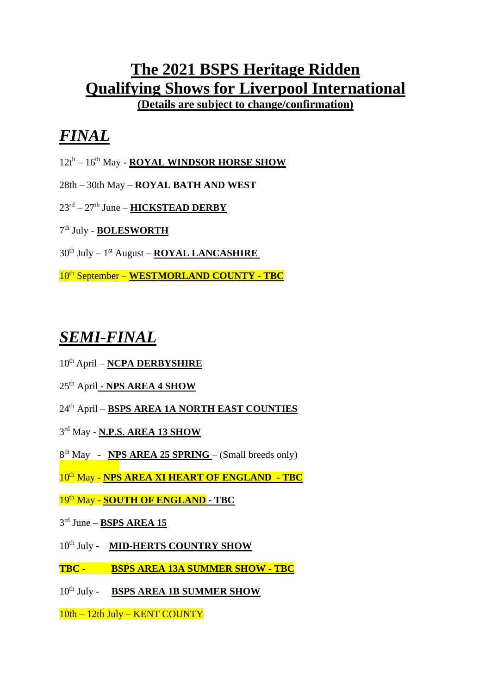## **The 2021 BSPS Heritage Ridden Qualifying Shows for Liverpool International**

**(Details are subject to change/confirmation)**

## *FINAL*

- 12th 16th May **ROYAL WINDSOR HORSE SHOW**
- 28th 30th May **– ROYAL BATH AND WEST**
- 23<sup>rd</sup> 27<sup>th</sup> June **HICKSTEAD DERBY**
- 7 th July **BOLESWORTH**
- 30th July 1 st August **ROYAL LANCASHIRE**

10th September – **WESTMORLAND COUNTY - TBC**

## *SEMI-FINAL*

- 10<sup>th</sup> April **NCPA DERBYSHIRE**
- 25th April **- NPS AREA 4 SHOW**
- 24 th April **BSPS AREA 1A NORTH EAST COUNTIES**
- 3 rd May **N.P.S. AREA 13 SHOW**
- 8<sup>th</sup> May **NPS AREA 25 SPRING** (Small breeds only)
- 10th May **NPS AREA XI HEART OF ENGLAND - TBC**
- 19th May **SOUTH OF ENGLAND - TBC**
- 3 rd June **– BSPS AREA 15**
- 10<sup>th</sup> July **MID-HERTS COUNTRY SHOW**
- **TBC BSPS AREA 13A SUMMER SHOW - TBC**
- 10<sup>th</sup> July **BSPS AREA 1B SUMMER SHOW**
- 10th 12th July KENT COUNTY